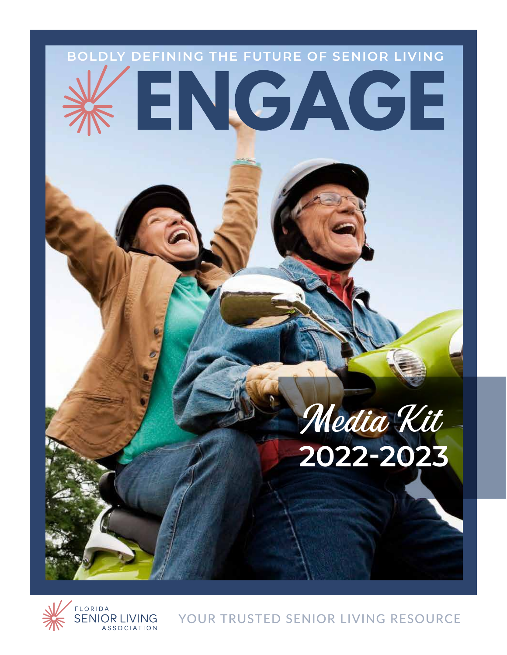



YOUR TRUSTED SENIOR LIVING RESOURCE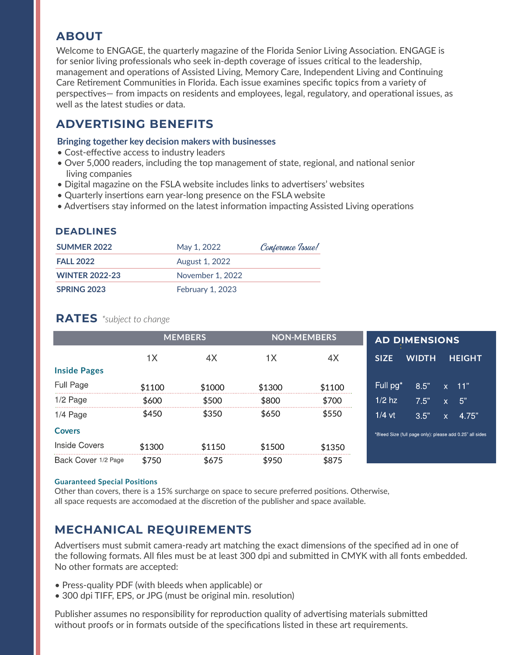# **ABOUT**

Welcome to ENGAGE, the quarterly magazine of the Florida Senior Living Association. ENGAGE is for senior living professionals who seek in-depth coverage of issues critical to the leadership, management and operations of Assisted Living, Memory Care, Independent Living and Continuing Care Retirement Communities in Florida. Each issue examines specific topics from a variety of perspectives— from impacts on residents and employees, legal, regulatory, and operational issues, as well as the latest studies or data.

# **ADVERTISING BENEFITS**

### **Bringing together key decision makers with businesses**

- Cost-effective access to industry leaders
- Over 5,000 readers, including the top management of state, regional, and national senior living companies
- Digital magazine on the FSLA website includes links to advertisers' websites
- Quarterly insertions earn year-long presence on the FSLA website
- Advertisers stay informed on the latest information impacting Assisted Living operations

## **DEADLINES**

| <b>SUMMER 2022</b>    | May 1, 2022             | Conference Issue! |  |  |
|-----------------------|-------------------------|-------------------|--|--|
| <b>FALL 2022</b>      | August 1, 2022          |                   |  |  |
| <b>WINTER 2022-23</b> | November 1, 2022        |                   |  |  |
| SPRING 2023           | <b>February 1, 2023</b> |                   |  |  |

## **RATES** *\*subject to change*

|                     | <b>MEMBERS</b> |        | <b>NON-MEMBERS</b> |        | <b>AD DIMENSIONS</b> |                                                          |              |               |
|---------------------|----------------|--------|--------------------|--------|----------------------|----------------------------------------------------------|--------------|---------------|
|                     | 1 <sub>X</sub> | 4X     | 1X                 | 4X     | <b>SIZE</b>          | <b>WIDTH</b>                                             |              | <b>HEIGHT</b> |
| <b>Inside Pages</b> |                |        |                    |        |                      |                                                          |              |               |
| Full Page           | \$1100         | \$1000 | \$1300             | \$1100 | Full pg <sup>*</sup> | 8.5"                                                     | $\mathsf{x}$ | 11"           |
| $1/2$ Page          | \$600          | \$500  | \$800              | \$700  | $1/2$ hz             | 7.5"                                                     | ιx'          | 5"            |
| $1/4$ Page          | \$450          | \$350  | \$650              | \$550  | $1/4$ vt             | 3.5"                                                     | X.           | 4.75"         |
| <b>Covers</b>       |                |        |                    |        |                      | *Bleed Size (full page only): please add 0.25" all sides |              |               |
| Inside Covers       | \$1300         | \$1150 | \$1500             | \$1350 |                      |                                                          |              |               |
| Back Cover 1/2 Page | \$750          | \$675  | \$950              | \$875  |                      |                                                          |              |               |

#### **Guaranteed Special Positions**

Other than covers, there is a 15% surcharge on space to secure preferred positions. Otherwise, all space requests are accomodaed at the discretion of the publisher and space available.

# **MECHANICAL REQUIREMENTS**

Advertisers must submit camera-ready art matching the exact dimensions of the specified ad in one of the following formats. All files must be at least 300 dpi and submitted in CMYK with all fonts embedded. No other formats are accepted:

- Press-quality PDF (with bleeds when applicable) or
- 300 dpi TIFF, EPS, or JPG (must be original min. resolution)

Publisher assumes no responsibility for reproduction quality of advertising materials submitted without proofs or in formats outside of the specifications listed in these art requirements.